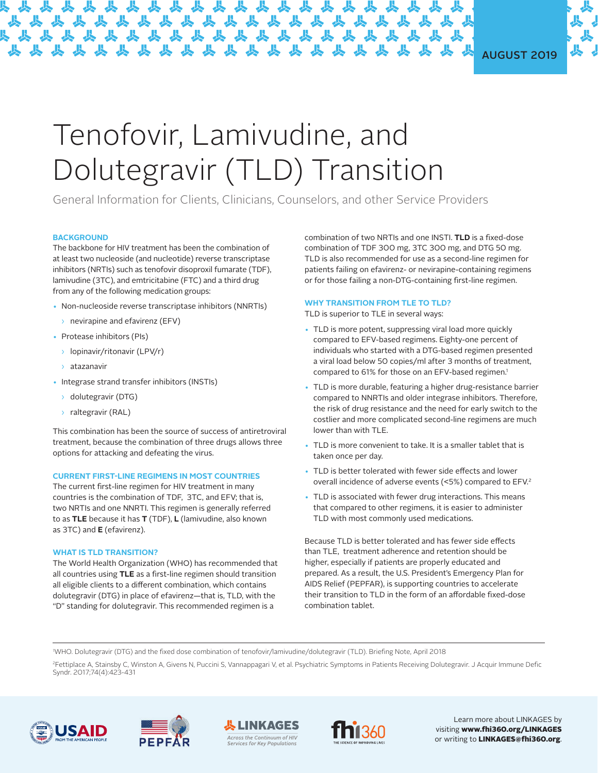# AUGUST 2019

# Tenofovir, Lamivudine, and Dolutegravir (TLD) Transition

General Information for Clients, Clinicians, Counselors, and other Service Providers

### **BACKGROUND**

The backbone for HIV treatment has been the combination of at least two nucleoside (and nucleotide) reverse transcriptase inhibitors (NRTIs) such as tenofovir disoproxil fumarate (TDF), lamivudine (3TC), and emtricitabine (FTC) and a third drug from any of the following medication groups:

- Non-nucleoside reverse transcriptase inhibitors (NNRTIs)
- $\rightarrow$  nevirapine and efavirenz (EFV)
- Protease inhibitors (PIs)
	- ͙ lopinavir/ritonavir (LPV/r)
	- ͙ atazanavir
- Integrase strand transfer inhibitors (INSTIs)
	- ͙ dolutegravir (DTG)
	- > raltegravir (RAL)

This combination has been the source of success of antiretroviral treatment, because the combination of three drugs allows three options for attacking and defeating the virus.

#### **CURRENT FIRST-LINE REGIMENS IN MOST COUNTRIES**

The current first-line regimen for HIV treatment in many countries is the combination of TDF, 3TC, and EFV; that is, two NRTIs and one NNRTI. This regimen is generally referred to as **TLE** because it has **T** (TDF), **L** (lamivudine, also known as 3TC) and **E** (efavirenz).

#### **WHAT IS TLD TRANSITION?**

The World Health Organization (WHO) has recommended that all countries using **TLE** as a first-line regimen should transition all eligible clients to a different combination, which contains dolutegravir (DTG) in place of efavirenz—that is, TLD, with the "D" standing for dolutegravir. This recommended regimen is a

combination of two NRTIs and one INSTI. **TLD** is a fixed-dose combination of TDF 300 mg, 3TC 300 mg, and DTG 50 mg. TLD is also recommended for use as a second-line regimen for patients failing on efavirenz- or nevirapine-containing regimens or for those failing a non-DTG-containing first-line regimen.

#### **WHY TRANSITION FROM TLE TO TLD?**

TLD is superior to TLE in several ways:

- TLD is more potent, suppressing viral load more quickly compared to EFV-based regimens. Eighty-one percent of individuals who started with a DTG-based regimen presented a viral load below 50 copies/ml after 3 months of treatment, compared to 61% for those on an EFV-based regimen.<sup>1</sup>
- TLD is more durable, featuring a higher drug-resistance barrier compared to NNRTIs and older integrase inhibitors. Therefore, the risk of drug resistance and the need for early switch to the costlier and more complicated second-line regimens are much lower than with TLE.
- TLD is more convenient to take. It is a smaller tablet that is taken once per day.
- TLD is better tolerated with fewer side effects and lower overall incidence of adverse events (<5%) compared to EFV.2
- TLD is associated with fewer drug interactions. This means that compared to other regimens, it is easier to administer TLD with most commonly used medications.

Because TLD is better tolerated and has fewer side effects than TLE, treatment adherence and retention should be higher, especially if patients are properly educated and prepared. As a result, the U.S. President's Emergency Plan for AIDS Relief (PEPFAR), is supporting countries to accelerate their transition to TLD in the form of an affordable fixed-dose combination tablet.

1 WHO. Dolutegravir (DTG) and the fixed dose combination of tenofovir/lamivudine/dolutegravir (TLD). Briefing Note, April 2018

2Fettiplace A, Stainsby C, Winston A, Givens N, Puccini S, Vannappagari V, et al. Psychiatric Symptoms in Patients Receiving Dolutegravir. J Acquir Immune Defic Syndr. 2017;74(4):423-431









Learn more about LINKAGES by visiting www.fhi360.org/LINKAGES or writing to LINKAGES@fhi360.org.